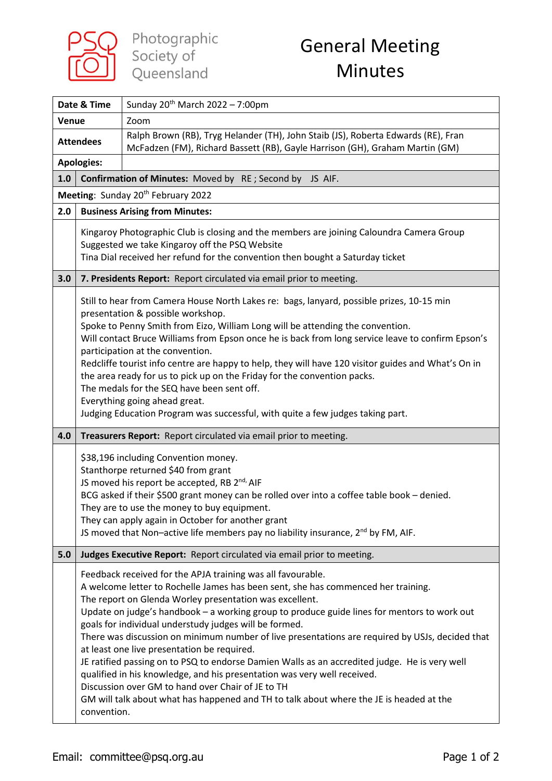

| Date & Time                                                    |                                       | Sunday 20 <sup>th</sup> March 2022 - 7:00pm                                                                                                                                                                                                                                                                                                                                                                                                                                                                                                                                                                                                                                                                                                                                                                                                         |  |
|----------------------------------------------------------------|---------------------------------------|-----------------------------------------------------------------------------------------------------------------------------------------------------------------------------------------------------------------------------------------------------------------------------------------------------------------------------------------------------------------------------------------------------------------------------------------------------------------------------------------------------------------------------------------------------------------------------------------------------------------------------------------------------------------------------------------------------------------------------------------------------------------------------------------------------------------------------------------------------|--|
| Venue                                                          |                                       | Zoom                                                                                                                                                                                                                                                                                                                                                                                                                                                                                                                                                                                                                                                                                                                                                                                                                                                |  |
| <b>Attendees</b>                                               |                                       | Ralph Brown (RB), Tryg Helander (TH), John Staib (JS), Roberta Edwards (RE), Fran<br>McFadzen (FM), Richard Bassett (RB), Gayle Harrison (GH), Graham Martin (GM)                                                                                                                                                                                                                                                                                                                                                                                                                                                                                                                                                                                                                                                                                   |  |
| <b>Apologies:</b>                                              |                                       |                                                                                                                                                                                                                                                                                                                                                                                                                                                                                                                                                                                                                                                                                                                                                                                                                                                     |  |
| 1.0<br>Confirmation of Minutes: Moved by RE; Second by JS AIF. |                                       |                                                                                                                                                                                                                                                                                                                                                                                                                                                                                                                                                                                                                                                                                                                                                                                                                                                     |  |
| Meeting: Sunday 20 <sup>th</sup> February 2022                 |                                       |                                                                                                                                                                                                                                                                                                                                                                                                                                                                                                                                                                                                                                                                                                                                                                                                                                                     |  |
| 2.0                                                            | <b>Business Arising from Minutes:</b> |                                                                                                                                                                                                                                                                                                                                                                                                                                                                                                                                                                                                                                                                                                                                                                                                                                                     |  |
|                                                                |                                       | Kingaroy Photographic Club is closing and the members are joining Caloundra Camera Group<br>Suggested we take Kingaroy off the PSQ Website<br>Tina Dial received her refund for the convention then bought a Saturday ticket                                                                                                                                                                                                                                                                                                                                                                                                                                                                                                                                                                                                                        |  |
| 3.0                                                            |                                       | 7. Presidents Report: Report circulated via email prior to meeting.                                                                                                                                                                                                                                                                                                                                                                                                                                                                                                                                                                                                                                                                                                                                                                                 |  |
|                                                                |                                       | Still to hear from Camera House North Lakes re: bags, lanyard, possible prizes, 10-15 min<br>presentation & possible workshop.<br>Spoke to Penny Smith from Eizo, William Long will be attending the convention.<br>Will contact Bruce Williams from Epson once he is back from long service leave to confirm Epson's<br>participation at the convention.<br>Redcliffe tourist info centre are happy to help, they will have 120 visitor guides and What's On in<br>the area ready for us to pick up on the Friday for the convention packs.<br>The medals for the SEQ have been sent off.<br>Everything going ahead great.<br>Judging Education Program was successful, with quite a few judges taking part.                                                                                                                                       |  |
| 4.0                                                            |                                       | Treasurers Report: Report circulated via email prior to meeting.                                                                                                                                                                                                                                                                                                                                                                                                                                                                                                                                                                                                                                                                                                                                                                                    |  |
|                                                                |                                       | \$38,196 including Convention money.<br>Stanthorpe returned \$40 from grant<br>JS moved his report be accepted, RB 2nd, AIF<br>BCG asked if their \$500 grant money can be rolled over into a coffee table book - denied.<br>They are to use the money to buy equipment.<br>They can apply again in October for another grant<br>JS moved that Non-active life members pay no liability insurance, 2 <sup>nd</sup> by FM, AIF.                                                                                                                                                                                                                                                                                                                                                                                                                      |  |
| 5.0                                                            |                                       | Judges Executive Report: Report circulated via email prior to meeting.                                                                                                                                                                                                                                                                                                                                                                                                                                                                                                                                                                                                                                                                                                                                                                              |  |
|                                                                | convention.                           | Feedback received for the APJA training was all favourable.<br>A welcome letter to Rochelle James has been sent, she has commenced her training.<br>The report on Glenda Worley presentation was excellent.<br>Update on judge's handbook - a working group to produce guide lines for mentors to work out<br>goals for individual understudy judges will be formed.<br>There was discussion on minimum number of live presentations are required by USJs, decided that<br>at least one live presentation be required.<br>JE ratified passing on to PSQ to endorse Damien Walls as an accredited judge. He is very well<br>qualified in his knowledge, and his presentation was very well received.<br>Discussion over GM to hand over Chair of JE to TH<br>GM will talk about what has happened and TH to talk about where the JE is headed at the |  |